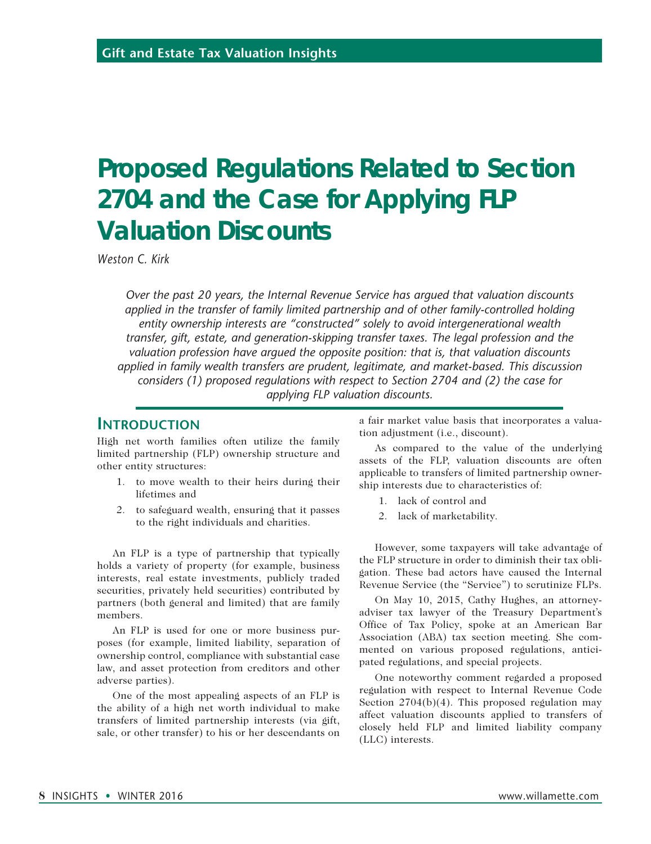# **Proposed Regulations Related to Section 2704 and the Case for Applying FLP Valuation Discounts**

*Weston C. Kirk*

*Over the past 20 years, the Internal Revenue Service has argued that valuation discounts*  applied in the transfer of family limited partnership and of other family-controlled holding *entity ownership interests are "constructed" solely to avoid intergenerational wealth transfer, gift, estate, and generation-skipping transfer taxes. The legal profession and the valuation profession have argued the opposite position: that is, that valuation discounts applied in family wealth transfers are prudent, legitimate, and market-based. This discussion considers (1) proposed regulations with respect to Section 2704 and (2) the case for applying FLP valuation discounts.*

## **INTRODUCTION**

High net worth families often utilize the family limited partnership (FLP) ownership structure and other entity structures:

- 1. to move wealth to their heirs during their lifetimes and
- 2. to safeguard wealth, ensuring that it passes to the right individuals and charities.

An FLP is a type of partnership that typically holds a variety of property (for example, business interests, real estate investments, publicly traded securities, privately held securities) contributed by partners (both general and limited) that are family members.

An FLP is used for one or more business purposes (for example, limited liability, separation of ownership control, compliance with substantial case law, and asset protection from creditors and other adverse parties).

One of the most appealing aspects of an FLP is the ability of a high net worth individual to make transfers of limited partnership interests (via gift, sale, or other transfer) to his or her descendants on a fair market value basis that incorporates a valuation adjustment (i.e., discount).

As compared to the value of the underlying assets of the FLP, valuation discounts are often applicable to transfers of limited partnership ownership interests due to characteristics of:

- 1. lack of control and
- 2. lack of marketability.

However, some taxpayers will take advantage of the FLP structure in order to diminish their tax obligation. These bad actors have caused the Internal Revenue Service (the "Service") to scrutinize FLPs.

On May 10, 2015, Cathy Hughes, an attorneyadviser tax lawyer of the Treasury Department's Office of Tax Policy, spoke at an American Bar Association (ABA) tax section meeting. She commented on various proposed regulations, anticipated regulations, and special projects.

One noteworthy comment regarded a proposed regulation with respect to Internal Revenue Code Section 2704(b)(4). This proposed regulation may affect valuation discounts applied to transfers of closely held FLP and limited liability company (LLC) interests.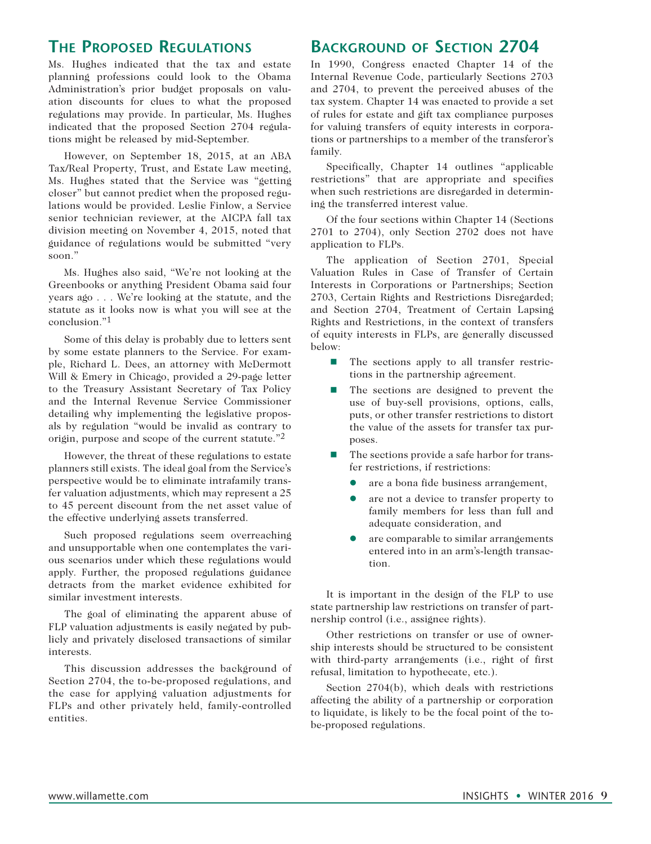## **The Proposed Regulations**

Ms. Hughes indicated that the tax and estate planning professions could look to the Obama Administration's prior budget proposals on valuation discounts for clues to what the proposed regulations may provide. In particular, Ms. Hughes indicated that the proposed Section 2704 regulations might be released by mid-September.

However, on September 18, 2015, at an ABA Tax/Real Property, Trust, and Estate Law meeting, Ms. Hughes stated that the Service was "getting closer" but cannot predict when the proposed regulations would be provided. Leslie Finlow, a Service senior technician reviewer, at the AICPA fall tax division meeting on November 4, 2015, noted that guidance of regulations would be submitted "very soon."

Ms. Hughes also said, "We're not looking at the Greenbooks or anything President Obama said four years ago . . . We're looking at the statute, and the statute as it looks now is what you will see at the conclusion."1

Some of this delay is probably due to letters sent by some estate planners to the Service. For example, Richard L. Dees, an attorney with McDermott Will & Emery in Chicago, provided a 29-page letter to the Treasury Assistant Secretary of Tax Policy and the Internal Revenue Service Commissioner detailing why implementing the legislative proposals by regulation "would be invalid as contrary to origin, purpose and scope of the current statute."2

However, the threat of these regulations to estate planners still exists. The ideal goal from the Service's perspective would be to eliminate intrafamily transfer valuation adjustments, which may represent a 25 to 45 percent discount from the net asset value of the effective underlying assets transferred.

Such proposed regulations seem overreaching and unsupportable when one contemplates the various scenarios under which these regulations would apply. Further, the proposed regulations guidance detracts from the market evidence exhibited for similar investment interests.

The goal of eliminating the apparent abuse of FLP valuation adjustments is easily negated by publicly and privately disclosed transactions of similar interests.

This discussion addresses the background of Section 2704, the to-be-proposed regulations, and the case for applying valuation adjustments for FLPs and other privately held, family-controlled entities.

# **Background of Section 2704**

In 1990, Congress enacted Chapter 14 of the Internal Revenue Code, particularly Sections 2703 and 2704, to prevent the perceived abuses of the tax system. Chapter 14 was enacted to provide a set of rules for estate and gift tax compliance purposes for valuing transfers of equity interests in corporations or partnerships to a member of the transferor's family.

Specifically, Chapter 14 outlines "applicable restrictions" that are appropriate and specifies when such restrictions are disregarded in determining the transferred interest value.

Of the four sections within Chapter 14 (Sections 2701 to 2704), only Section 2702 does not have application to FLPs.

The application of Section 2701, Special Valuation Rules in Case of Transfer of Certain Interests in Corporations or Partnerships; Section 2703, Certain Rights and Restrictions Disregarded; and Section 2704, Treatment of Certain Lapsing Rights and Restrictions, in the context of transfers of equity interests in FLPs, are generally discussed below:

- The sections apply to all transfer restrictions in the partnership agreement.
- $\blacksquare$  The sections are designed to prevent the use of buy-sell provisions, options, calls, puts, or other transfer restrictions to distort the value of the assets for transfer tax purposes.
- $\blacksquare$  The sections provide a safe harbor for transfer restrictions, if restrictions:
	- l are a bona fide business arrangement,
	- are not a device to transfer property to family members for less than full and adequate consideration, and
	- are comparable to similar arrangements entered into in an arm's-length transaction.

It is important in the design of the FLP to use state partnership law restrictions on transfer of partnership control (i.e., assignee rights).

Other restrictions on transfer or use of ownership interests should be structured to be consistent with third-party arrangements (i.e., right of first refusal, limitation to hypothecate, etc.).

Section 2704(b), which deals with restrictions affecting the ability of a partnership or corporation to liquidate, is likely to be the focal point of the tobe-proposed regulations.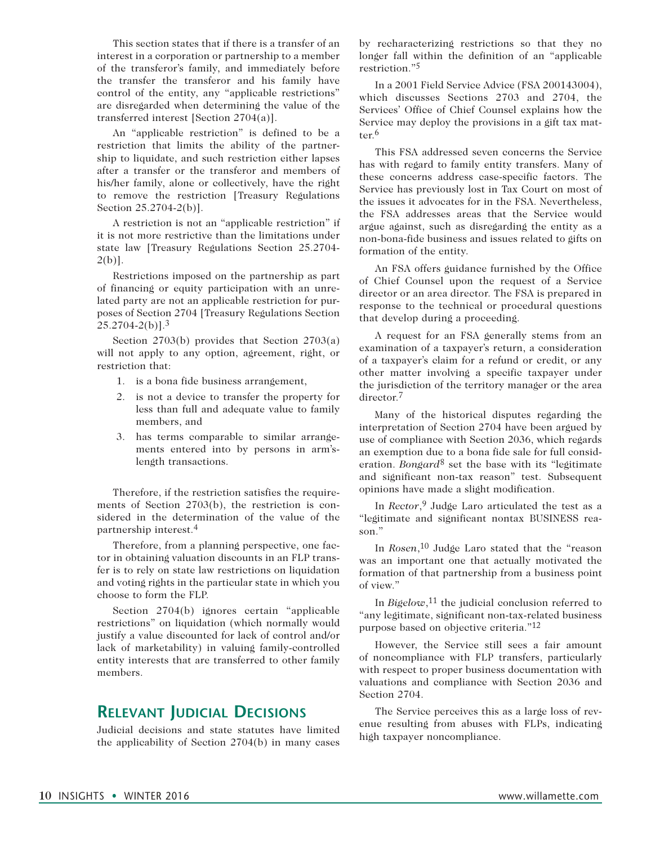This section states that if there is a transfer of an interest in a corporation or partnership to a member of the transferor's family, and immediately before the transfer the transferor and his family have control of the entity, any "applicable restrictions" are disregarded when determining the value of the transferred interest [Section 2704(a)].

An "applicable restriction" is defined to be a restriction that limits the ability of the partnership to liquidate, and such restriction either lapses after a transfer or the transferor and members of his/her family, alone or collectively, have the right to remove the restriction [Treasury Regulations Section 25.2704-2(b)].

A restriction is not an "applicable restriction" if it is not more restrictive than the limitations under state law [Treasury Regulations Section 25.2704-  $2(b)$ ].

Restrictions imposed on the partnership as part of financing or equity participation with an unrelated party are not an applicable restriction for purposes of Section 2704 [Treasury Regulations Section  $25.2704 - 2(b)$ ].<sup>3</sup>

Section 2703(b) provides that Section 2703(a) will not apply to any option, agreement, right, or restriction that:

- 1. is a bona fide business arrangement,
- 2. is not a device to transfer the property for less than full and adequate value to family members, and
- 3. has terms comparable to similar arrangements entered into by persons in arm'slength transactions.

Therefore, if the restriction satisfies the requirements of Section 2703(b), the restriction is considered in the determination of the value of the partnership interest.4

Therefore, from a planning perspective, one factor in obtaining valuation discounts in an FLP transfer is to rely on state law restrictions on liquidation and voting rights in the particular state in which you choose to form the FLP.

Section 2704(b) ignores certain "applicable restrictions" on liquidation (which normally would justify a value discounted for lack of control and/or lack of marketability) in valuing family-controlled entity interests that are transferred to other family members.

## **Relevant Judicial Decisions**

Judicial decisions and state statutes have limited the applicability of Section 2704(b) in many cases by recharacterizing restrictions so that they no longer fall within the definition of an "applicable restriction."5

In a 2001 Field Service Advice (FSA 200143004), which discusses Sections 2703 and 2704, the Services' Office of Chief Counsel explains how the Service may deploy the provisions in a gift tax matter.6

This FSA addressed seven concerns the Service has with regard to family entity transfers. Many of these concerns address case-specific factors. The Service has previously lost in Tax Court on most of the issues it advocates for in the FSA. Nevertheless, the FSA addresses areas that the Service would argue against, such as disregarding the entity as a non-bona-fide business and issues related to gifts on formation of the entity.

An FSA offers guidance furnished by the Office of Chief Counsel upon the request of a Service director or an area director. The FSA is prepared in response to the technical or procedural questions that develop during a proceeding.

A request for an FSA generally stems from an examination of a taxpayer's return, a consideration of a taxpayer's claim for a refund or credit, or any other matter involving a specific taxpayer under the jurisdiction of the territory manager or the area director.<sup>7</sup>

Many of the historical disputes regarding the interpretation of Section 2704 have been argued by use of compliance with Section 2036, which regards an exemption due to a bona fide sale for full consideration. *Bongard*8 set the base with its "legitimate and significant non-tax reason" test. Subsequent opinions have made a slight modification.

In *Rector*,<sup>9</sup> Judge Laro articulated the test as a "legitimate and significant nontax BUSINESS reason."

In *Rosen*,10 Judge Laro stated that the "reason was an important one that actually motivated the formation of that partnership from a business point of view."

In *Bigelow*,<sup>11</sup> the judicial conclusion referred to "any legitimate, significant non-tax-related business purpose based on objective criteria."12

However, the Service still sees a fair amount of noncompliance with FLP transfers, particularly with respect to proper business documentation with valuations and compliance with Section 2036 and Section 2704.

The Service perceives this as a large loss of revenue resulting from abuses with FLPs, indicating high taxpayer noncompliance.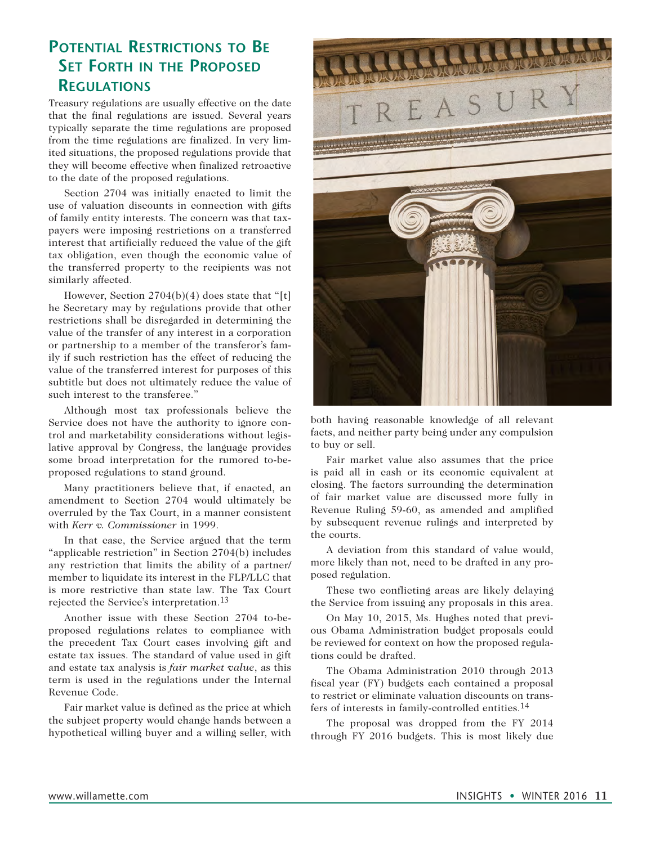# **Potential Restrictions to Be Set Forth in the Proposed Regulations**

Treasury regulations are usually effective on the date that the final regulations are issued. Several years typically separate the time regulations are proposed from the time regulations are finalized. In very limited situations, the proposed regulations provide that they will become effective when finalized retroactive to the date of the proposed regulations.

Section 2704 was initially enacted to limit the use of valuation discounts in connection with gifts of family entity interests. The concern was that taxpayers were imposing restrictions on a transferred interest that artificially reduced the value of the gift tax obligation, even though the economic value of the transferred property to the recipients was not similarly affected.

However, Section  $2704(b)(4)$  does state that "[t] he Secretary may by regulations provide that other restrictions shall be disregarded in determining the value of the transfer of any interest in a corporation or partnership to a member of the transferor's family if such restriction has the effect of reducing the value of the transferred interest for purposes of this subtitle but does not ultimately reduce the value of such interest to the transferee."

Although most tax professionals believe the Service does not have the authority to ignore control and marketability considerations without legislative approval by Congress, the language provides some broad interpretation for the rumored to-beproposed regulations to stand ground.

Many practitioners believe that, if enacted, an amendment to Section 2704 would ultimately be overruled by the Tax Court, in a manner consistent with *Kerr v. Commissioner* in 1999.

In that case, the Service argued that the term "applicable restriction" in Section 2704(b) includes any restriction that limits the ability of a partner/ member to liquidate its interest in the FLP/LLC that is more restrictive than state law. The Tax Court rejected the Service's interpretation.13

Another issue with these Section 2704 to-beproposed regulations relates to compliance with the precedent Tax Court cases involving gift and estate tax issues. The standard of value used in gift and estate tax analysis is *fair market value*, as this term is used in the regulations under the Internal Revenue Code.

Fair market value is defined as the price at which the subject property would change hands between a hypothetical willing buyer and a willing seller, with



both having reasonable knowledge of all relevant facts, and neither party being under any compulsion to buy or sell.

Fair market value also assumes that the price is paid all in cash or its economic equivalent at closing. The factors surrounding the determination of fair market value are discussed more fully in Revenue Ruling 59-60, as amended and amplified by subsequent revenue rulings and interpreted by the courts.

A deviation from this standard of value would, more likely than not, need to be drafted in any proposed regulation.

These two conflicting areas are likely delaying the Service from issuing any proposals in this area.

On May 10, 2015, Ms. Hughes noted that previous Obama Administration budget proposals could be reviewed for context on how the proposed regulations could be drafted.

The Obama Administration 2010 through 2013 fiscal year (FY) budgets each contained a proposal to restrict or eliminate valuation discounts on transfers of interests in family-controlled entities.14

The proposal was dropped from the FY 2014 through FY 2016 budgets. This is most likely due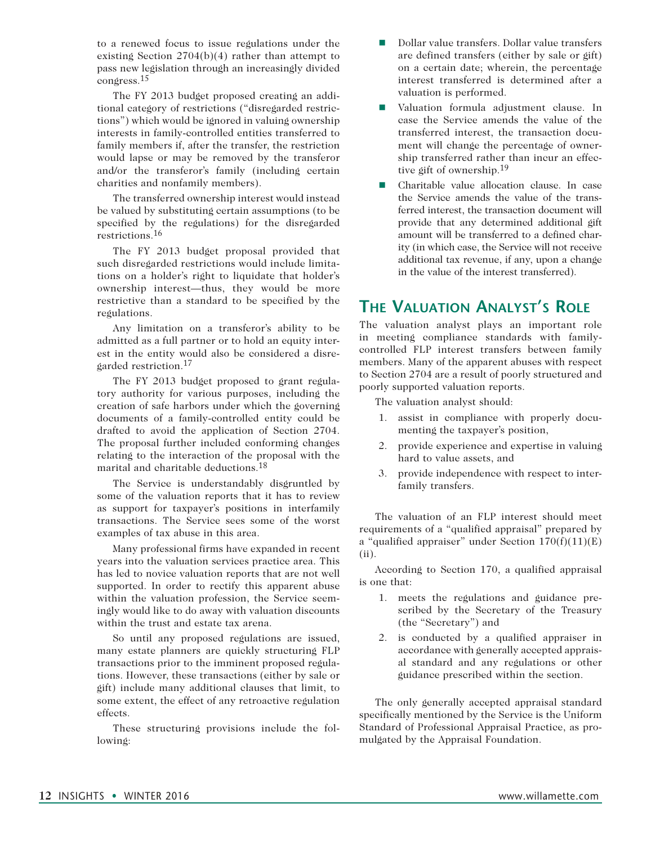to a renewed focus to issue regulations under the existing Section 2704(b)(4) rather than attempt to pass new legislation through an increasingly divided congress.15

The FY 2013 budget proposed creating an additional category of restrictions ("disregarded restrictions") which would be ignored in valuing ownership interests in family-controlled entities transferred to family members if, after the transfer, the restriction would lapse or may be removed by the transferor and/or the transferor's family (including certain charities and nonfamily members).

The transferred ownership interest would instead be valued by substituting certain assumptions (to be specified by the regulations) for the disregarded restrictions.16

The FY 2013 budget proposal provided that such disregarded restrictions would include limitations on a holder's right to liquidate that holder's ownership interest—thus, they would be more restrictive than a standard to be specified by the regulations.

Any limitation on a transferor's ability to be admitted as a full partner or to hold an equity interest in the entity would also be considered a disregarded restriction.17

The FY 2013 budget proposed to grant regulatory authority for various purposes, including the creation of safe harbors under which the governing documents of a family-controlled entity could be drafted to avoid the application of Section 2704. The proposal further included conforming changes relating to the interaction of the proposal with the marital and charitable deductions.18

The Service is understandably disgruntled by some of the valuation reports that it has to review as support for taxpayer's positions in interfamily transactions. The Service sees some of the worst examples of tax abuse in this area.

Many professional firms have expanded in recent years into the valuation services practice area. This has led to novice valuation reports that are not well supported. In order to rectify this apparent abuse within the valuation profession, the Service seemingly would like to do away with valuation discounts within the trust and estate tax arena.

So until any proposed regulations are issued, many estate planners are quickly structuring FLP transactions prior to the imminent proposed regulations. However, these transactions (either by sale or gift) include many additional clauses that limit, to some extent, the effect of any retroactive regulation effects.

These structuring provisions include the following:

- Dollar value transfers. Dollar value transfers are defined transfers (either by sale or gift) on a certain date; wherein, the percentage interest transferred is determined after a valuation is performed.
- n Valuation formula adjustment clause. In case the Service amends the value of the transferred interest, the transaction document will change the percentage of ownership transferred rather than incur an effective gift of ownership.19
- Charitable value allocation clause. In case the Service amends the value of the transferred interest, the transaction document will provide that any determined additional gift amount will be transferred to a defined charity (in which case, the Service will not receive additional tax revenue, if any, upon a change in the value of the interest transferred).

## **The Valuation Analyst's Role**

The valuation analyst plays an important role in meeting compliance standards with familycontrolled FLP interest transfers between family members. Many of the apparent abuses with respect to Section 2704 are a result of poorly structured and poorly supported valuation reports.

The valuation analyst should:

- 1. assist in compliance with properly documenting the taxpayer's position,
- 2. provide experience and expertise in valuing hard to value assets, and
- 3. provide independence with respect to interfamily transfers.

The valuation of an FLP interest should meet requirements of a "qualified appraisal" prepared by a "qualified appraiser" under Section  $170(f)(11)(E)$ (ii).

According to Section 170, a qualified appraisal is one that:

- 1. meets the regulations and guidance prescribed by the Secretary of the Treasury (the "Secretary") and
- 2. is conducted by a qualified appraiser in accordance with generally accepted appraisal standard and any regulations or other guidance prescribed within the section.

The only generally accepted appraisal standard specifically mentioned by the Service is the Uniform Standard of Professional Appraisal Practice, as promulgated by the Appraisal Foundation.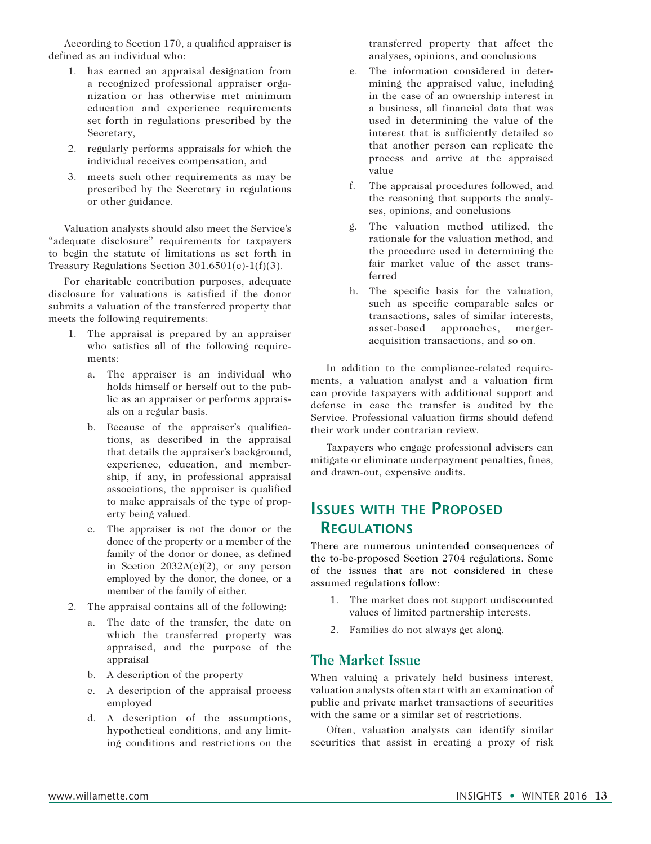According to Section 170, a qualified appraiser is defined as an individual who:

- 1. has earned an appraisal designation from a recognized professional appraiser organization or has otherwise met minimum education and experience requirements set forth in regulations prescribed by the Secretary,
- 2. regularly performs appraisals for which the individual receives compensation, and
- 3. meets such other requirements as may be prescribed by the Secretary in regulations or other guidance.

Valuation analysts should also meet the Service's "adequate disclosure" requirements for taxpayers to begin the statute of limitations as set forth in Treasury Regulations Section 301.6501(c)-1(f)(3).

For charitable contribution purposes, adequate disclosure for valuations is satisfied if the donor submits a valuation of the transferred property that meets the following requirements:

- 1. The appraisal is prepared by an appraiser who satisfies all of the following requirements:
	- a. The appraiser is an individual who holds himself or herself out to the public as an appraiser or performs appraisals on a regular basis.
	- b. Because of the appraiser's qualifications, as described in the appraisal that details the appraiser's background, experience, education, and membership, if any, in professional appraisal associations, the appraiser is qualified to make appraisals of the type of property being valued.
	- c. The appraiser is not the donor or the donee of the property or a member of the family of the donor or donee, as defined in Section 2032A(e)(2), or any person employed by the donor, the donee, or a member of the family of either.
- 2. The appraisal contains all of the following:
	- a. The date of the transfer, the date on which the transferred property was appraised, and the purpose of the appraisal
	- b. A description of the property
	- c. A description of the appraisal process employed
	- d. A description of the assumptions, hypothetical conditions, and any limiting conditions and restrictions on the

transferred property that affect the analyses, opinions, and conclusions

- e. The information considered in determining the appraised value, including in the case of an ownership interest in a business, all financial data that was used in determining the value of the interest that is sufficiently detailed so that another person can replicate the process and arrive at the appraised value
- f. The appraisal procedures followed, and the reasoning that supports the analyses, opinions, and conclusions
- g. The valuation method utilized, the rationale for the valuation method, and the procedure used in determining the fair market value of the asset transferred
- h. The specific basis for the valuation, such as specific comparable sales or transactions, sales of similar interests, asset-based approaches, mergeracquisition transactions, and so on.

In addition to the compliance-related requirements, a valuation analyst and a valuation firm can provide taxpayers with additional support and defense in case the transfer is audited by the Service. Professional valuation firms should defend their work under contrarian review.

Taxpayers who engage professional advisers can mitigate or eliminate underpayment penalties, fines, and drawn-out, expensive audits.

## **Issues with the Proposed Regulations**

There are numerous unintended consequences of the to-be-proposed Section 2704 regulations. Some of the issues that are not considered in these assumed regulations follow:

- 1. The market does not support undiscounted values of limited partnership interests.
- 2. Families do not always get along.

#### **The Market Issue**

When valuing a privately held business interest, valuation analysts often start with an examination of public and private market transactions of securities with the same or a similar set of restrictions.

Often, valuation analysts can identify similar securities that assist in creating a proxy of risk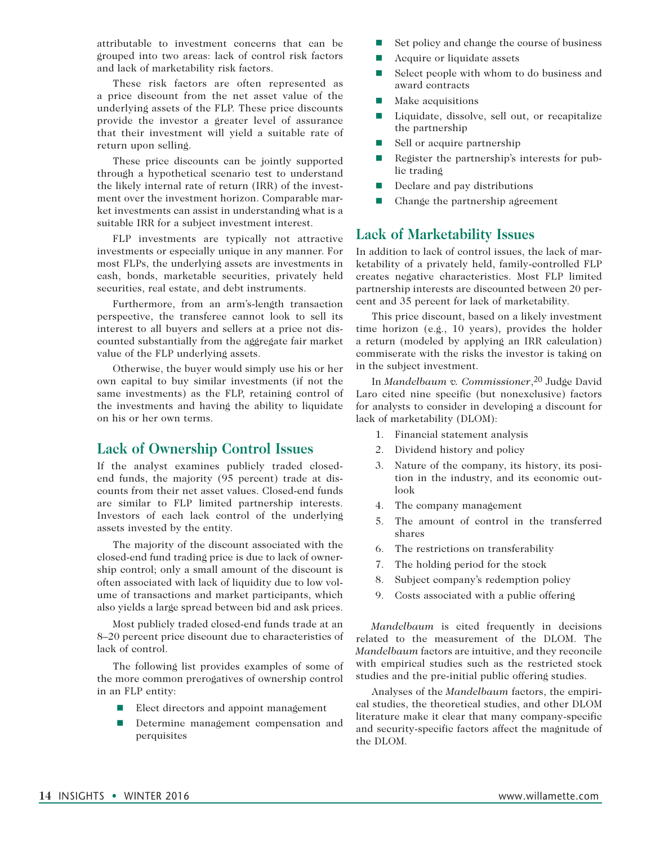attributable to investment concerns that can be grouped into two areas: lack of control risk factors and lack of marketability risk factors.

These risk factors are often represented as a price discount from the net asset value of the underlying assets of the FLP. These price discounts provide the investor a greater level of assurance that their investment will yield a suitable rate of return upon selling.

These price discounts can be jointly supported through a hypothetical scenario test to understand the likely internal rate of return (IRR) of the investment over the investment horizon. Comparable market investments can assist in understanding what is a suitable IRR for a subject investment interest.

FLP investments are typically not attractive investments or especially unique in any manner. For most FLPs, the underlying assets are investments in cash, bonds, marketable securities, privately held securities, real estate, and debt instruments.

Furthermore, from an arm's-length transaction perspective, the transferee cannot look to sell its interest to all buyers and sellers at a price not discounted substantially from the aggregate fair market value of the FLP underlying assets.

Otherwise, the buyer would simply use his or her own capital to buy similar investments (if not the same investments) as the FLP, retaining control of the investments and having the ability to liquidate on his or her own terms.

#### **Lack of Ownership Control Issues**

If the analyst examines publicly traded closedend funds, the majority (95 percent) trade at discounts from their net asset values. Closed-end funds are similar to FLP limited partnership interests. Investors of each lack control of the underlying assets invested by the entity.

The majority of the discount associated with the closed-end fund trading price is due to lack of ownership control; only a small amount of the discount is often associated with lack of liquidity due to low volume of transactions and market participants, which also yields a large spread between bid and ask prices.

Most publicly traded closed-end funds trade at an 8–20 percent price discount due to characteristics of lack of control.

The following list provides examples of some of the more common prerogatives of ownership control in an FLP entity:

- Elect directors and appoint management
- **n** Determine management compensation and perquisites
- $\blacksquare$  Set policy and change the course of business
- $\blacksquare$  Acquire or liquidate assets
- $\blacksquare$  Select people with whom to do business and award contracts
- $\blacksquare$  Make acquisitions
- Liquidate, dissolve, sell out, or recapitalize the partnership
- $\blacksquare$  Sell or acquire partnership
- $\blacksquare$  Register the partnership's interests for public trading
- $\Box$  Declare and pay distributions
- $\blacksquare$  Change the partnership agreement

#### **Lack of Marketability Issues**

In addition to lack of control issues, the lack of marketability of a privately held, family-controlled FLP creates negative characteristics. Most FLP limited partnership interests are discounted between 20 percent and 35 percent for lack of marketability.

This price discount, based on a likely investment time horizon (e.g., 10 years), provides the holder a return (modeled by applying an IRR calculation) commiserate with the risks the investor is taking on in the subject investment.

In *Mandelbaum v. Commissioner*<sup>20</sup> Judge David Laro cited nine specific (but nonexclusive) factors for analysts to consider in developing a discount for lack of marketability (DLOM):

- 1. Financial statement analysis
- 2. Dividend history and policy
- 3. Nature of the company, its history, its position in the industry, and its economic outlook
- 4. The company management
- 5. The amount of control in the transferred shares
- 6. The restrictions on transferability
- 7. The holding period for the stock
- 8. Subject company's redemption policy
- 9. Costs associated with a public offering

*Mandelbaum* is cited frequently in decisions related to the measurement of the DLOM. The *Mandelbaum* factors are intuitive, and they reconcile with empirical studies such as the restricted stock studies and the pre-initial public offering studies.

Analyses of the *Mandelbaum* factors, the empirical studies, the theoretical studies, and other DLOM literature make it clear that many company-specific and security-specific factors affect the magnitude of the DLOM.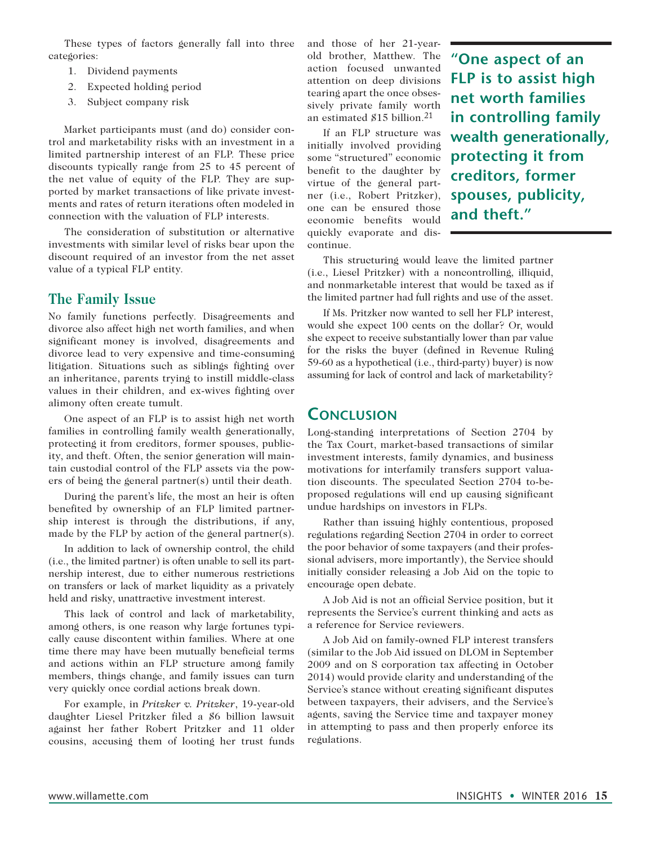These types of factors generally fall into three categories:

- 1. Dividend payments
- 2. Expected holding period
- 3. Subject company risk

Market participants must (and do) consider control and marketability risks with an investment in a limited partnership interest of an FLP. These price discounts typically range from 25 to 45 percent of the net value of equity of the FLP. They are supported by market transactions of like private investments and rates of return iterations often modeled in connection with the valuation of FLP interests.

The consideration of substitution or alternative investments with similar level of risks bear upon the discount required of an investor from the net asset value of a typical FLP entity.

#### **The Family Issue**

No family functions perfectly. Disagreements and divorce also affect high net worth families, and when significant money is involved, disagreements and divorce lead to very expensive and time-consuming litigation. Situations such as siblings fighting over an inheritance, parents trying to instill middle-class values in their children, and ex-wives fighting over alimony often create tumult.

One aspect of an FLP is to assist high net worth families in controlling family wealth generationally, protecting it from creditors, former spouses, publicity, and theft. Often, the senior generation will maintain custodial control of the FLP assets via the powers of being the general partner(s) until their death.

During the parent's life, the most an heir is often benefited by ownership of an FLP limited partnership interest is through the distributions, if any, made by the FLP by action of the general partner(s).

In addition to lack of ownership control, the child (i.e., the limited partner) is often unable to sell its partnership interest, due to either numerous restrictions on transfers or lack of market liquidity as a privately held and risky, unattractive investment interest.

This lack of control and lack of marketability, among others, is one reason why large fortunes typically cause discontent within families. Where at one time there may have been mutually beneficial terms and actions within an FLP structure among family members, things change, and family issues can turn very quickly once cordial actions break down.

For example, in *Pritzker v. Pritzker*, 19-year-old daughter Liesel Pritzker filed a \$6 billion lawsuit against her father Robert Pritzker and 11 older cousins, accusing them of looting her trust funds and those of her 21-yearold brother, Matthew. The action focused unwanted attention on deep divisions tearing apart the once obsessively private family worth an estimated \$15 billion.21

If an FLP structure was initially involved providing some "structured" economic benefit to the daughter by virtue of the general partner (i.e., Robert Pritzker), one can be ensured those economic benefits would quickly evaporate and discontinue.

**"One aspect of an FLP is to assist high net worth families in controlling family wealth generationally, protecting it from creditors, former spouses, publicity, and theft."**

This structuring would leave the limited partner (i.e., Liesel Pritzker) with a noncontrolling, illiquid, and nonmarketable interest that would be taxed as if the limited partner had full rights and use of the asset.

If Ms. Pritzker now wanted to sell her FLP interest, would she expect 100 cents on the dollar? Or, would she expect to receive substantially lower than par value for the risks the buyer (defined in Revenue Ruling 59-60 as a hypothetical (i.e., third-party) buyer) is now assuming for lack of control and lack of marketability?

#### **Conclusion**

Long-standing interpretations of Section 2704 by the Tax Court, market-based transactions of similar investment interests, family dynamics, and business motivations for interfamily transfers support valuation discounts. The speculated Section 2704 to-beproposed regulations will end up causing significant undue hardships on investors in FLPs.

Rather than issuing highly contentious, proposed regulations regarding Section 2704 in order to correct the poor behavior of some taxpayers (and their professional advisers, more importantly), the Service should initially consider releasing a Job Aid on the topic to encourage open debate.

A Job Aid is not an official Service position, but it represents the Service's current thinking and acts as a reference for Service reviewers.

A Job Aid on family-owned FLP interest transfers (similar to the Job Aid issued on DLOM in September 2009 and on S corporation tax affecting in October 2014) would provide clarity and understanding of the Service's stance without creating significant disputes between taxpayers, their advisers, and the Service's agents, saving the Service time and taxpayer money in attempting to pass and then properly enforce its regulations.